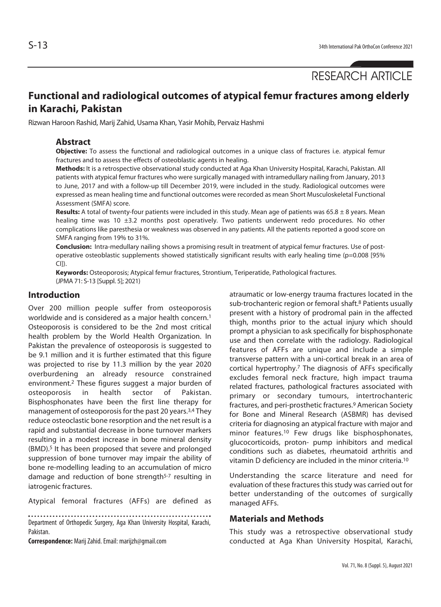# **Functional and radiological outcomes of atypical femur fractures among elderly in Karachi, Pakistan**

Rizwan Haroon Rashid, Marij Zahid, Usama Khan, Yasir Mohib, Pervaiz Hashmi

#### **Abstract**

**Objective:** To assess the functional and radiological outcomes in a unique class of fractures i.e. atypical femur fractures and to assess the effects of osteoblastic agents in healing.

**Methods:** It is a retrospective observational study conducted at Aga Khan University Hospital, Karachi, Pakistan. All patients with atypical femur fractures who were surgically managed with intramedullary nailing from January, 2013 to June, 2017 and with a follow-up till December 2019, were included in the study. Radiological outcomes were expressed as mean healing time and functional outcomes were recorded as mean Short Musculoskeletal Functional Assessment (SMFA) score.

**Results:** A total of twenty-four patients were included in this study. Mean age of patients was 65.8 ± 8 years. Mean healing time was 10 ±3.2 months post operatively. Two patients underwent redo procedures. No other complications like paresthesia or weakness was observed in any patients. All the patients reported a good score on SMFA ranging from 19% to 31%.

**Conclusion:** Intra-medullary nailing shows a promising result in treatment of atypical femur fractures. Use of postoperative osteoblastic supplements showed statistically significant results with early healing time (p=0.008 [95%  $C<sub>II</sub>$ ).

**Keywords:** Osteoporosis; Atypical femur fractures, Strontium, Teriperatide, Pathological fractures. (JPMA 71: S-13 [Suppl. 5]; 2021)

### **Introduction**

Over 200 million people suffer from osteoporosis worldwide and is considered as a major health concern.<sup>1</sup> Osteoporosis is considered to be the 2nd most critical health problem by the World Health Organization. In Pakistan the prevalence of osteoporosis is suggested to be 9.1 million and it is further estimated that this figure was projected to rise by 11.3 million by the year 2020 overburdening an already resource constrained environment.2 These figures suggest a major burden of osteoporosis in health sector of Pakistan. Bisphosphonates have been the first line therapy for management of osteoporosis for the past 20 years.3,4 They reduce osteoclastic bone resorption and the net result is a rapid and substantial decrease in bone turnover markers resulting in a modest increase in bone mineral density (BMD).5 It has been proposed that severe and prolonged suppression of bone turnover may impair the ability of bone re-modelling leading to an accumulation of micro damage and reduction of bone strength<sup>5-7</sup> resulting in iatrogenic fractures.

Atypical femoral fractures (AFFs) are defined as

Department of Orthopedic Surgery, Aga Khan University Hospital, Karachi, Pakistan.

**Correspondence:** Marij Zahid. Email: marijzh@gmail.com

atraumatic or low-energy trauma fractures located in the sub-trochanteric region or femoral shaft.<sup>8</sup> Patients usually present with a history of prodromal pain in the affected thigh, months prior to the actual injury which should prompt a physician to ask specifically for bisphosphonate use and then correlate with the radiology. Radiological features of AFFs are unique and include a simple transverse pattern with a uni-cortical break in an area of cortical hypertrophy.7 The diagnosis of AFFs specifically excludes femoral neck fracture, high impact trauma related fractures, pathological fractures associated with primary or secondary tumours, intertrochanteric fractures, and peri-prosthetic fractures.9 American Society for Bone and Mineral Research (ASBMR) has devised criteria for diagnosing an atypical fracture with major and minor features.10 Few drugs like bisphosphonates, glucocorticoids, proton- pump inhibitors and medical conditions such as diabetes, rheumatoid arthritis and vitamin D deficiency are included in the minor criteria.10

Understanding the scarce literature and need for evaluation of these fractures this study was carried out for better understanding of the outcomes of surgically managed AFFs.

#### **Materials and Methods**

This study was a retrospective observational study conducted at Aga Khan University Hospital, Karachi,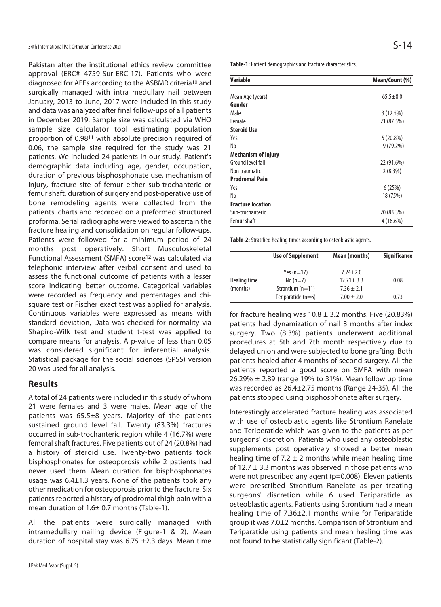Pakistan after the institutional ethics review committee approval (ERC# 4759-Sur-ERC-17). Patients who were diagnosed for AFFs according to the ASBMR criteria<sup>10</sup> and surgically managed with intra medullary nail between January, 2013 to June, 2017 were included in this study and data was analyzed after final follow-ups of all patients in December 2019. Sample size was calculated via WHO sample size calculator tool estimating population proportion of 0.9811 with absolute precision required of 0.06, the sample size required for the study was 21 patients. We included 24 patients in our study. Patient's demographic data including age, gender, occupation, duration of previous bisphosphonate use, mechanism of injury, fracture site of femur either sub-trochanteric or femur shaft, duration of surgery and post-operative use of bone remodeling agents were collected from the patients' charts and recorded on a preformed structured proforma. Serial radiographs were viewed to ascertain the fracture healing and consolidation on regular follow-ups. Patients were followed for a minimum period of 24 months post operatively. Short Musculoskeletal Functional Assessment (SMFA) score12 was calculated via telephonic interview after verbal consent and used to assess the functional outcome of patients with a lesser score indicating better outcome. Categorical variables were recorded as frequency and percentages and chisquare test or Fischer exact test was applied for analysis. Continuous variables were expressed as means with standard deviation, Data was checked for normality via Shapiro-Wilk test and student t-test was applied to compare means for analysis. A p-value of less than 0.05 was considered significant for inferential analysis. Statistical package for the social sciences (SPSS) version 20 was used for all analysis.

### **Results**

A total of 24 patients were included in this study of whom 21 were females and 3 were males. Mean age of the patients was 65.5±8 years. Majority of the patients sustained ground level fall. Twenty (83.3%) fractures occurred in sub-trochanteric region while 4 (16.7%) were femoral shaft fractures. Five patients out of 24 (20.8%) had a history of steroid use. Twenty-two patients took bisphosphonates for osteoporosis while 2 patients had never used them. Mean duration for bisphosphonates usage was 6.4±1.3 years. None of the patients took any other medication for osteoporosis prior to the fracture. Six patients reported a history of prodromal thigh pain with a mean duration of 1.6± 0.7 months (Table-1).

All the patients were surgically managed with intramedullary nailing device (Figure-1 & 2). Mean duration of hospital stay was 6.75  $\pm$ 2.3 days. Mean time **Table-1:** Patient demographics and fracture characteristics.

| Variable                   | Mean/Count (%) |  |
|----------------------------|----------------|--|
| Mean Age (years)           | $65.5 \pm 8.0$ |  |
| Gender                     |                |  |
| Male                       | 3(12.5%)       |  |
| Female                     | 21 (87.5%)     |  |
| <b>Steroid Use</b>         |                |  |
| Yes                        | $5(20.8\%)$    |  |
| No                         | 19 (79.2%)     |  |
| <b>Mechanism of Injury</b> |                |  |
| Ground level fall          | 22 (91.6%)     |  |
| Non traumatic              | 2(8.3%)        |  |
| <b>Prodromal Pain</b>      |                |  |
| Yes                        | 6(25%)         |  |
| No                         | 18 (75%)       |  |
| <b>Fracture location</b>   |                |  |
| Sub-trochanteric           | 20 (83.3%)     |  |
| Femur shaft                | $4(16.6\%)$    |  |

**Table-2:** Stratified healing times according to osteoblastic agents.

|              | <b>Use of Supplement</b> | Mean (months)   | <b>Significance</b> |
|--------------|--------------------------|-----------------|---------------------|
|              | Yes $(n=17)$             | $7.24 + 2.0$    |                     |
| Healing time | No $(n=7)$               | $12.71 \pm 3.3$ | 0.08                |
| (months)     | Strontium $(n=11)$       | $7.36 \pm 2.1$  |                     |
|              | Teriparatide (n=6)       | $7.00 \pm 2.0$  | 0.73                |

for fracture healing was  $10.8 \pm 3.2$  months. Five (20.83%) patients had dynamization of nail 3 months after index surgery. Two (8.3%) patients underwent additional procedures at 5th and 7th month respectively due to delayed union and were subjected to bone grafting. Both patients healed after 4 months of second surgery. All the patients reported a good score on SMFA with mean 26.29%  $\pm$  2.89 (range 19% to 31%). Mean follow up time was recorded as 26.4±2.75 months (Range 24-35). All the patients stopped using bisphosphonate after surgery.

Interestingly accelerated fracture healing was associated with use of osteoblastic agents like Strontium Ranelate and Teriperatide which was given to the patients as per surgeons' discretion. Patients who used any osteoblastic supplements post operatively showed a better mean healing time of  $7.2 \pm 2$  months while mean healing time of 12.7  $\pm$  3.3 months was observed in those patients who were not prescribed any agent (p=0.008). Eleven patients were prescribed Strontium Ranelate as per treating surgeons' discretion while 6 used Teriparatide as osteoblastic agents. Patients using Strontium had a mean healing time of 7.36±2.1 months while for Teriparatide group it was 7.0±2 months. Comparison of Strontium and Teriparatide using patients and mean healing time was not found to be statistically significant (Table-2).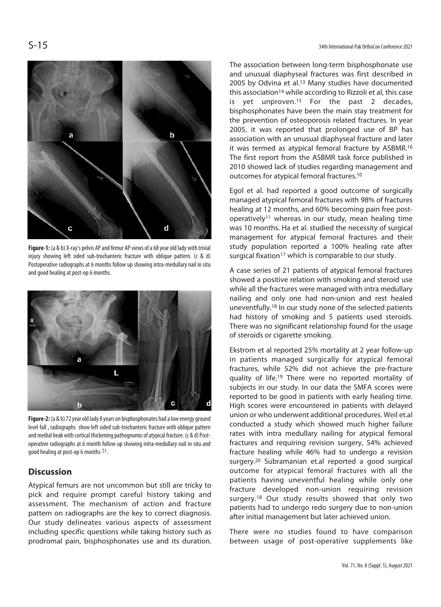

**Figure-1:** (a & b) X-ray's pelvis AP and femur AP views of a 68 year old lady with trivial injury showing left sided sub-trochanteric fracture with oblique pattern. (c & d) Postoperative radiographs at 6 months follow up showing intra-medullary nail in situ and good healing at post-op 6 months.



**Figure-2:** (a & b) 72 year old lady 8 years on bisphosphonates had a low energy ground level fall , radiographs show left sided sub-trochanteric fracture with oblique pattern and medial beak with cortical thickening pathognomic of atypical fracture. (c & d) Postoperative radiographs at 6 month follow up showing intra-medullary nail in situ and good healing at post-op 6 months 21.

## **Discussion**

Atypical femurs are not uncommon but still are tricky to pick and require prompt careful history taking and assessment. The mechanism of action and fracture pattern on radiographs are the key to correct diagnosis. Our study delineates various aspects of assessment including specific questions while taking history such as prodromal pain, bisphosphonates use and its duration. The association between long-term bisphosphonate use and unusual diaphyseal fractures was first described in 2005 by Odvina et al.13 Many studies have documented this association<sup>14</sup> while according to Rizzoli et al, this case is yet unproven.15 For the past 2 decades, bisphosphonates have been the main stay treatment for the prevention of osteoporosis related fractures. In year 2005, it was reported that prolonged use of BP has association with an unusual diaphyseal fracture and later it was termed as atypical femoral fracture by ASBMR.16 The first report from the ASBMR task force published in 2010 showed lack of studies regarding management and outcomes for atypical femoral fractures.10

Egol et al. had reported a good outcome of surgically managed atypical femoral fractures with 98% of fractures healing at 12 months, and 60% becoming pain free postoperatively11 whereas in our study, mean healing time was 10 months. Ha et al. studied the necessity of surgical management for atypical femoral fractures and their study population reported a 100% healing rate after surgical fixation<sup>17</sup> which is comparable to our study.

A case series of 21 patients of atypical femoral fractures showed a positive relation with smoking and steroid use while all the fractures were managed with intra medullary nailing and only one had non-union and rest healed uneventfully.18 In our study none of the selected patients had history of smoking and 5 patients used steroids. There was no significant relationship found for the usage of steroids or cigarette smoking.

Ekstrom et al reported 25% mortality at 2 year follow-up in patients managed surgically for atypical femoral fractures, while 52% did not achieve the pre-fracture quality of life.19 There were no reported mortality of subjects in our study. In our data the SMFA scores were reported to be good in patients with early healing time. High scores were encountered in patients with delayed union or who underwent additional procedures. Weil et.al conducted a study which showed much higher failure rates with intra medullary nailing for atypical femoral fractures and requiring revision surgery, 54% achieved fracture healing while 46% had to undergo a revision surgery.20 Subramanian et.al reported a good surgical outcome for atypical femoral fractures with all the patients having uneventful healing while only one fracture developed non-union requiring revision surgery.18 Our study results showed that only two patients had to undergo redo surgery due to non-union after initial management but later achieved union.

There were no studies found to have comparison between usage of post-operative supplements like